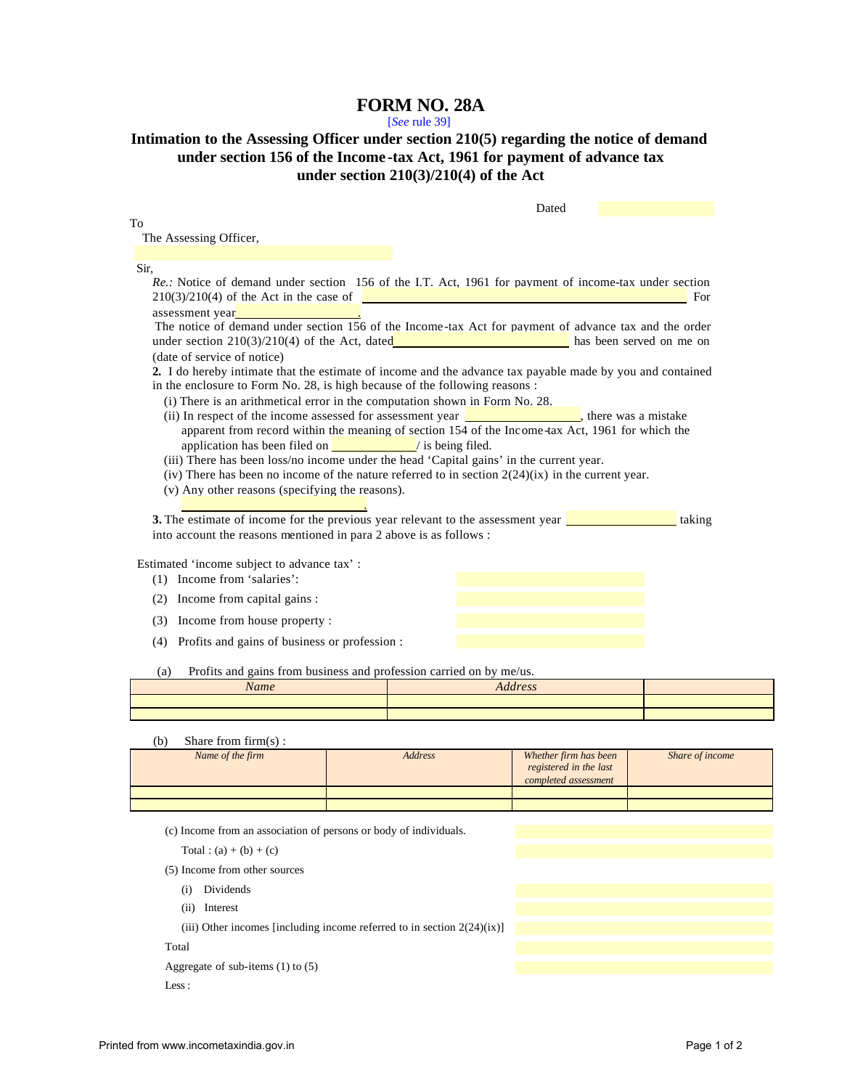## **FORM NO. 28A**

[*See* rule 39]

## **Intimation to the Assessing Officer under section 210(5) regarding the notice of demand under section 156 of the Income -tax Act, 1961 for payment of advance tax under section 210(3)/210(4) of the Act**

| The Assessing Officer,<br>Re.: Notice of demand under section 156 of the I.T. Act, 1961 for payment of income-tax under section<br>$210(3)/210(4)$ of the Act in the case of $\sqrt{25}$<br>– For<br>The notice of demand under section 156 of the Income-tax Act for payment of advance tax and the order<br>under section $210(3)/210(4)$ of the Act, dated and the section of the Act of the Act of the Act of the Act of the Act of the Act of the Act of the Act of the Act of the Act of the Act of the Act of the Act of the Act of t<br>(date of service of notice)<br>2. I do hereby intimate that the estimate of income and the advance tax payable made by you and contained<br>in the enclosure to Form No. 28, is high because of the following reasons :<br>(i) There is an arithmetical error in the computation shown in Form No. 28.<br>(ii) In respect of the income assessed for assessment year <b>the contract of the income assessed for assessment year</b> , there was a mistake<br>apparent from record within the meaning of section 154 of the Income-tax Act, 1961 for which the<br>application has been filed on $\sqrt{\frac{1}{1 + \frac{1}{1}} + \frac{1}{1}}$ is being filed.<br>(iii) There has been loss/no income under the head 'Capital gains' in the current year.<br>(iv) There has been no income of the nature referred to in section $2(24)(ix)$ in the current year.<br>(v) Any other reasons (specifying the reasons).<br><b>3.</b> The estimate of income for the previous year relevant to the assessment year $\frac{1}{\sqrt{1-\frac{1}{\sqrt{1-\frac{1}{\sqrt{1-\frac{1}{\sqrt{1-\frac{1}{\sqrt{1-\frac{1}{\sqrt{1-\frac{1}{\sqrt{1-\frac{1}{\sqrt{1-\frac{1}{\sqrt{1-\frac{1}{\sqrt{1-\frac{1}{\sqrt{1-\frac{1}{\sqrt{1-\frac{1}{\sqrt{1-\frac{1}{\sqrt{1-\frac{1}{\sqrt{1-\frac{$<br>taking<br>into account the reasons mentioned in para 2 above is as follows :<br>Estimated 'income subject to advance tax':<br>(1) Income from 'salaries':<br>(2) Income from capital gains :<br>(3) Income from house property:<br>(4) Profits and gains of business or profession :<br>Profits and gains from business and profession carried on by me/us.<br>(a)<br><b>Address</b><br>Name<br>Share from firm(s):<br>(b)<br>Name of the firm<br><b>Address</b><br>Whether firm has been<br>registered in the last |      |  | Dated |                 |
|---------------------------------------------------------------------------------------------------------------------------------------------------------------------------------------------------------------------------------------------------------------------------------------------------------------------------------------------------------------------------------------------------------------------------------------------------------------------------------------------------------------------------------------------------------------------------------------------------------------------------------------------------------------------------------------------------------------------------------------------------------------------------------------------------------------------------------------------------------------------------------------------------------------------------------------------------------------------------------------------------------------------------------------------------------------------------------------------------------------------------------------------------------------------------------------------------------------------------------------------------------------------------------------------------------------------------------------------------------------------------------------------------------------------------------------------------------------------------------------------------------------------------------------------------------------------------------------------------------------------------------------------------------------------------------------------------------------------------------------------------------------------------------------------------------------------------------------------------------------------------------------------------------------------------------------------------------------------------------------------------------------------------------------------------------------------------------------------------------------------------------------------------------------------------------------------------------------------------------------------------------------------------------------------------------------------------------------------------------------|------|--|-------|-----------------|
|                                                                                                                                                                                                                                                                                                                                                                                                                                                                                                                                                                                                                                                                                                                                                                                                                                                                                                                                                                                                                                                                                                                                                                                                                                                                                                                                                                                                                                                                                                                                                                                                                                                                                                                                                                                                                                                                                                                                                                                                                                                                                                                                                                                                                                                                                                                                                               | To   |  |       |                 |
|                                                                                                                                                                                                                                                                                                                                                                                                                                                                                                                                                                                                                                                                                                                                                                                                                                                                                                                                                                                                                                                                                                                                                                                                                                                                                                                                                                                                                                                                                                                                                                                                                                                                                                                                                                                                                                                                                                                                                                                                                                                                                                                                                                                                                                                                                                                                                               |      |  |       |                 |
|                                                                                                                                                                                                                                                                                                                                                                                                                                                                                                                                                                                                                                                                                                                                                                                                                                                                                                                                                                                                                                                                                                                                                                                                                                                                                                                                                                                                                                                                                                                                                                                                                                                                                                                                                                                                                                                                                                                                                                                                                                                                                                                                                                                                                                                                                                                                                               | Sir. |  |       |                 |
|                                                                                                                                                                                                                                                                                                                                                                                                                                                                                                                                                                                                                                                                                                                                                                                                                                                                                                                                                                                                                                                                                                                                                                                                                                                                                                                                                                                                                                                                                                                                                                                                                                                                                                                                                                                                                                                                                                                                                                                                                                                                                                                                                                                                                                                                                                                                                               |      |  |       |                 |
|                                                                                                                                                                                                                                                                                                                                                                                                                                                                                                                                                                                                                                                                                                                                                                                                                                                                                                                                                                                                                                                                                                                                                                                                                                                                                                                                                                                                                                                                                                                                                                                                                                                                                                                                                                                                                                                                                                                                                                                                                                                                                                                                                                                                                                                                                                                                                               |      |  |       |                 |
|                                                                                                                                                                                                                                                                                                                                                                                                                                                                                                                                                                                                                                                                                                                                                                                                                                                                                                                                                                                                                                                                                                                                                                                                                                                                                                                                                                                                                                                                                                                                                                                                                                                                                                                                                                                                                                                                                                                                                                                                                                                                                                                                                                                                                                                                                                                                                               |      |  |       |                 |
|                                                                                                                                                                                                                                                                                                                                                                                                                                                                                                                                                                                                                                                                                                                                                                                                                                                                                                                                                                                                                                                                                                                                                                                                                                                                                                                                                                                                                                                                                                                                                                                                                                                                                                                                                                                                                                                                                                                                                                                                                                                                                                                                                                                                                                                                                                                                                               |      |  |       |                 |
|                                                                                                                                                                                                                                                                                                                                                                                                                                                                                                                                                                                                                                                                                                                                                                                                                                                                                                                                                                                                                                                                                                                                                                                                                                                                                                                                                                                                                                                                                                                                                                                                                                                                                                                                                                                                                                                                                                                                                                                                                                                                                                                                                                                                                                                                                                                                                               |      |  |       |                 |
|                                                                                                                                                                                                                                                                                                                                                                                                                                                                                                                                                                                                                                                                                                                                                                                                                                                                                                                                                                                                                                                                                                                                                                                                                                                                                                                                                                                                                                                                                                                                                                                                                                                                                                                                                                                                                                                                                                                                                                                                                                                                                                                                                                                                                                                                                                                                                               |      |  |       |                 |
|                                                                                                                                                                                                                                                                                                                                                                                                                                                                                                                                                                                                                                                                                                                                                                                                                                                                                                                                                                                                                                                                                                                                                                                                                                                                                                                                                                                                                                                                                                                                                                                                                                                                                                                                                                                                                                                                                                                                                                                                                                                                                                                                                                                                                                                                                                                                                               |      |  |       |                 |
|                                                                                                                                                                                                                                                                                                                                                                                                                                                                                                                                                                                                                                                                                                                                                                                                                                                                                                                                                                                                                                                                                                                                                                                                                                                                                                                                                                                                                                                                                                                                                                                                                                                                                                                                                                                                                                                                                                                                                                                                                                                                                                                                                                                                                                                                                                                                                               |      |  |       |                 |
|                                                                                                                                                                                                                                                                                                                                                                                                                                                                                                                                                                                                                                                                                                                                                                                                                                                                                                                                                                                                                                                                                                                                                                                                                                                                                                                                                                                                                                                                                                                                                                                                                                                                                                                                                                                                                                                                                                                                                                                                                                                                                                                                                                                                                                                                                                                                                               |      |  |       |                 |
|                                                                                                                                                                                                                                                                                                                                                                                                                                                                                                                                                                                                                                                                                                                                                                                                                                                                                                                                                                                                                                                                                                                                                                                                                                                                                                                                                                                                                                                                                                                                                                                                                                                                                                                                                                                                                                                                                                                                                                                                                                                                                                                                                                                                                                                                                                                                                               |      |  |       |                 |
|                                                                                                                                                                                                                                                                                                                                                                                                                                                                                                                                                                                                                                                                                                                                                                                                                                                                                                                                                                                                                                                                                                                                                                                                                                                                                                                                                                                                                                                                                                                                                                                                                                                                                                                                                                                                                                                                                                                                                                                                                                                                                                                                                                                                                                                                                                                                                               |      |  |       |                 |
|                                                                                                                                                                                                                                                                                                                                                                                                                                                                                                                                                                                                                                                                                                                                                                                                                                                                                                                                                                                                                                                                                                                                                                                                                                                                                                                                                                                                                                                                                                                                                                                                                                                                                                                                                                                                                                                                                                                                                                                                                                                                                                                                                                                                                                                                                                                                                               |      |  |       |                 |
|                                                                                                                                                                                                                                                                                                                                                                                                                                                                                                                                                                                                                                                                                                                                                                                                                                                                                                                                                                                                                                                                                                                                                                                                                                                                                                                                                                                                                                                                                                                                                                                                                                                                                                                                                                                                                                                                                                                                                                                                                                                                                                                                                                                                                                                                                                                                                               |      |  |       |                 |
|                                                                                                                                                                                                                                                                                                                                                                                                                                                                                                                                                                                                                                                                                                                                                                                                                                                                                                                                                                                                                                                                                                                                                                                                                                                                                                                                                                                                                                                                                                                                                                                                                                                                                                                                                                                                                                                                                                                                                                                                                                                                                                                                                                                                                                                                                                                                                               |      |  |       |                 |
|                                                                                                                                                                                                                                                                                                                                                                                                                                                                                                                                                                                                                                                                                                                                                                                                                                                                                                                                                                                                                                                                                                                                                                                                                                                                                                                                                                                                                                                                                                                                                                                                                                                                                                                                                                                                                                                                                                                                                                                                                                                                                                                                                                                                                                                                                                                                                               |      |  |       |                 |
|                                                                                                                                                                                                                                                                                                                                                                                                                                                                                                                                                                                                                                                                                                                                                                                                                                                                                                                                                                                                                                                                                                                                                                                                                                                                                                                                                                                                                                                                                                                                                                                                                                                                                                                                                                                                                                                                                                                                                                                                                                                                                                                                                                                                                                                                                                                                                               |      |  |       |                 |
|                                                                                                                                                                                                                                                                                                                                                                                                                                                                                                                                                                                                                                                                                                                                                                                                                                                                                                                                                                                                                                                                                                                                                                                                                                                                                                                                                                                                                                                                                                                                                                                                                                                                                                                                                                                                                                                                                                                                                                                                                                                                                                                                                                                                                                                                                                                                                               |      |  |       |                 |
|                                                                                                                                                                                                                                                                                                                                                                                                                                                                                                                                                                                                                                                                                                                                                                                                                                                                                                                                                                                                                                                                                                                                                                                                                                                                                                                                                                                                                                                                                                                                                                                                                                                                                                                                                                                                                                                                                                                                                                                                                                                                                                                                                                                                                                                                                                                                                               |      |  |       |                 |
|                                                                                                                                                                                                                                                                                                                                                                                                                                                                                                                                                                                                                                                                                                                                                                                                                                                                                                                                                                                                                                                                                                                                                                                                                                                                                                                                                                                                                                                                                                                                                                                                                                                                                                                                                                                                                                                                                                                                                                                                                                                                                                                                                                                                                                                                                                                                                               |      |  |       |                 |
|                                                                                                                                                                                                                                                                                                                                                                                                                                                                                                                                                                                                                                                                                                                                                                                                                                                                                                                                                                                                                                                                                                                                                                                                                                                                                                                                                                                                                                                                                                                                                                                                                                                                                                                                                                                                                                                                                                                                                                                                                                                                                                                                                                                                                                                                                                                                                               |      |  |       |                 |
|                                                                                                                                                                                                                                                                                                                                                                                                                                                                                                                                                                                                                                                                                                                                                                                                                                                                                                                                                                                                                                                                                                                                                                                                                                                                                                                                                                                                                                                                                                                                                                                                                                                                                                                                                                                                                                                                                                                                                                                                                                                                                                                                                                                                                                                                                                                                                               |      |  |       |                 |
|                                                                                                                                                                                                                                                                                                                                                                                                                                                                                                                                                                                                                                                                                                                                                                                                                                                                                                                                                                                                                                                                                                                                                                                                                                                                                                                                                                                                                                                                                                                                                                                                                                                                                                                                                                                                                                                                                                                                                                                                                                                                                                                                                                                                                                                                                                                                                               |      |  |       |                 |
|                                                                                                                                                                                                                                                                                                                                                                                                                                                                                                                                                                                                                                                                                                                                                                                                                                                                                                                                                                                                                                                                                                                                                                                                                                                                                                                                                                                                                                                                                                                                                                                                                                                                                                                                                                                                                                                                                                                                                                                                                                                                                                                                                                                                                                                                                                                                                               |      |  |       |                 |
|                                                                                                                                                                                                                                                                                                                                                                                                                                                                                                                                                                                                                                                                                                                                                                                                                                                                                                                                                                                                                                                                                                                                                                                                                                                                                                                                                                                                                                                                                                                                                                                                                                                                                                                                                                                                                                                                                                                                                                                                                                                                                                                                                                                                                                                                                                                                                               |      |  |       |                 |
|                                                                                                                                                                                                                                                                                                                                                                                                                                                                                                                                                                                                                                                                                                                                                                                                                                                                                                                                                                                                                                                                                                                                                                                                                                                                                                                                                                                                                                                                                                                                                                                                                                                                                                                                                                                                                                                                                                                                                                                                                                                                                                                                                                                                                                                                                                                                                               |      |  |       |                 |
|                                                                                                                                                                                                                                                                                                                                                                                                                                                                                                                                                                                                                                                                                                                                                                                                                                                                                                                                                                                                                                                                                                                                                                                                                                                                                                                                                                                                                                                                                                                                                                                                                                                                                                                                                                                                                                                                                                                                                                                                                                                                                                                                                                                                                                                                                                                                                               |      |  |       |                 |
|                                                                                                                                                                                                                                                                                                                                                                                                                                                                                                                                                                                                                                                                                                                                                                                                                                                                                                                                                                                                                                                                                                                                                                                                                                                                                                                                                                                                                                                                                                                                                                                                                                                                                                                                                                                                                                                                                                                                                                                                                                                                                                                                                                                                                                                                                                                                                               |      |  |       |                 |
|                                                                                                                                                                                                                                                                                                                                                                                                                                                                                                                                                                                                                                                                                                                                                                                                                                                                                                                                                                                                                                                                                                                                                                                                                                                                                                                                                                                                                                                                                                                                                                                                                                                                                                                                                                                                                                                                                                                                                                                                                                                                                                                                                                                                                                                                                                                                                               |      |  |       |                 |
|                                                                                                                                                                                                                                                                                                                                                                                                                                                                                                                                                                                                                                                                                                                                                                                                                                                                                                                                                                                                                                                                                                                                                                                                                                                                                                                                                                                                                                                                                                                                                                                                                                                                                                                                                                                                                                                                                                                                                                                                                                                                                                                                                                                                                                                                                                                                                               |      |  |       |                 |
|                                                                                                                                                                                                                                                                                                                                                                                                                                                                                                                                                                                                                                                                                                                                                                                                                                                                                                                                                                                                                                                                                                                                                                                                                                                                                                                                                                                                                                                                                                                                                                                                                                                                                                                                                                                                                                                                                                                                                                                                                                                                                                                                                                                                                                                                                                                                                               |      |  |       |                 |
|                                                                                                                                                                                                                                                                                                                                                                                                                                                                                                                                                                                                                                                                                                                                                                                                                                                                                                                                                                                                                                                                                                                                                                                                                                                                                                                                                                                                                                                                                                                                                                                                                                                                                                                                                                                                                                                                                                                                                                                                                                                                                                                                                                                                                                                                                                                                                               |      |  |       | Share of income |
| completed assessment                                                                                                                                                                                                                                                                                                                                                                                                                                                                                                                                                                                                                                                                                                                                                                                                                                                                                                                                                                                                                                                                                                                                                                                                                                                                                                                                                                                                                                                                                                                                                                                                                                                                                                                                                                                                                                                                                                                                                                                                                                                                                                                                                                                                                                                                                                                                          |      |  |       |                 |

(c) Income from an association of persons or body of individuals.

Total :  $(a) + (b) + (c)$ 

- (5) Income from other sources
	- (i) Dividends
	- (ii) Interest
	- (iii) Other incomes [including income referred to in section  $2(24)(ix)$ ]

Total

Aggregate of sub-items (1) to (5)

Less :